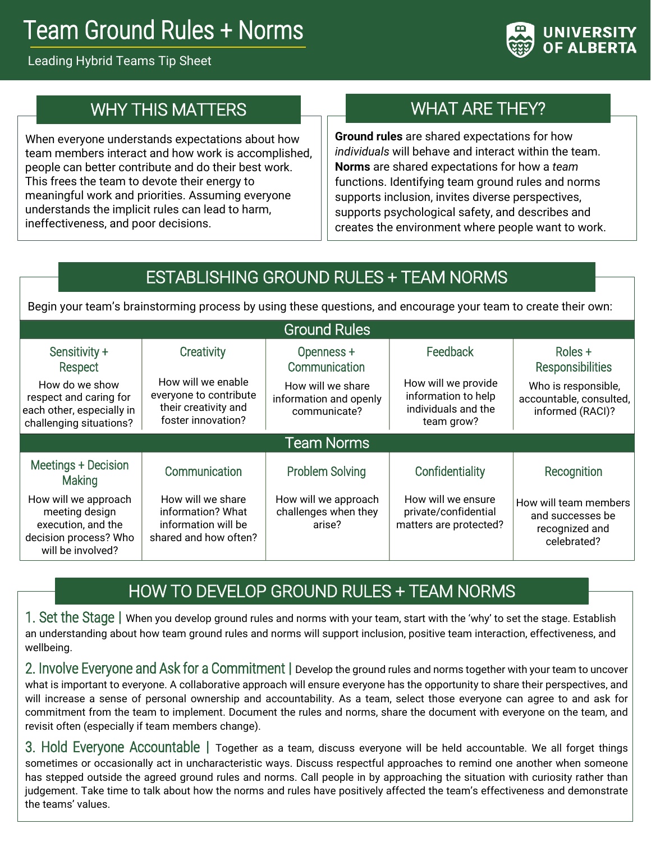# Team Ground Rules + Norms

#### Leading Hybrid Teams Tip Sheet



## WHY THIS MATTERS

When everyone understands expectations about how team members interact and how work is accomplished, people can better contribute and do their best work. This frees the team to devote their energy to meaningful work and priorities. Assuming everyone understands the implicit rules can lead to harm, ineffectiveness, and poor decisions.

## WHAT ARE THEY?

**Ground rules** are shared expectations for how *individuals* will behave and interact within the team. **Norms** are shared expectations for how a *team* functions. Identifying team ground rules and norms supports inclusion, invites diverse perspectives, supports psychological safety, and describes and creates the environment where people want to work.

## ESTABLISHING GROUND RULES + TEAM NORMS

Begin your team's brainstorming process by using these questions, and encourage your team to create their own:

| <b>Ground Rules</b>                                                                                                          |                                                                                                          |                                                                                            |                                                                                             |                                                                                                          |
|------------------------------------------------------------------------------------------------------------------------------|----------------------------------------------------------------------------------------------------------|--------------------------------------------------------------------------------------------|---------------------------------------------------------------------------------------------|----------------------------------------------------------------------------------------------------------|
| Sensitivity +<br>Respect<br>How do we show<br>respect and caring for<br>each other, especially in<br>challenging situations? | Creativity<br>How will we enable<br>everyone to contribute<br>their creativity and<br>foster innovation? | Openness +<br>Communication<br>How will we share<br>information and openly<br>communicate? | Feedback<br>How will we provide<br>information to help<br>individuals and the<br>team grow? | Roles +<br><b>Responsibilities</b><br>Who is responsible,<br>accountable, consulted,<br>informed (RACI)? |
| <b>Team Norms</b>                                                                                                            |                                                                                                          |                                                                                            |                                                                                             |                                                                                                          |
| Meetings + Decision<br><b>Making</b>                                                                                         | Communication                                                                                            | <b>Problem Solving</b>                                                                     | Confidentiality                                                                             | Recognition                                                                                              |
| How will we approach<br>meeting design<br>execution, and the<br>decision process? Who<br>will be involved?                   | How will we share<br>information? What<br>information will be<br>shared and how often?                   | How will we approach<br>challenges when they<br>arise?                                     | How will we ensure<br>private/confidential<br>matters are protected?                        | How will team members<br>and successes be<br>recognized and<br>celebrated?                               |

## HOW TO DEVELOP GROUND RULES + TEAM NORMS

1. Set the Stage **|** When you develop ground rules and norms with your team, start with the 'why' to set the stage. Establish an understanding about how team ground rules and norms will support inclusion, positive team interaction, effectiveness, and wellbeing.

2. Involve Everyone and Ask for a Commitment **|** Develop the ground rules and norms together with your team to uncover what is important to everyone. A collaborative approach will ensure everyone has the opportunity to share their perspectives, and will increase a sense of personal ownership and accountability. As a team, select those everyone can agree to and ask for commitment from the team to implement. Document the rules and norms, share the document with everyone on the team, and revisit often (especially if team members change).

3. Hold Everyone Accountable **|** Together as a team, discuss everyone will be held accountable. We all forget things sometimes or occasionally act in uncharacteristic ways. Discuss respectful approaches to remind one another when someone has stepped outside the agreed ground rules and norms. Call people in by approaching the situation with curiosity rather than judgement. Take time to talk about how the norms and rules have positively affected the team's effectiveness and demonstrate the teams' values.